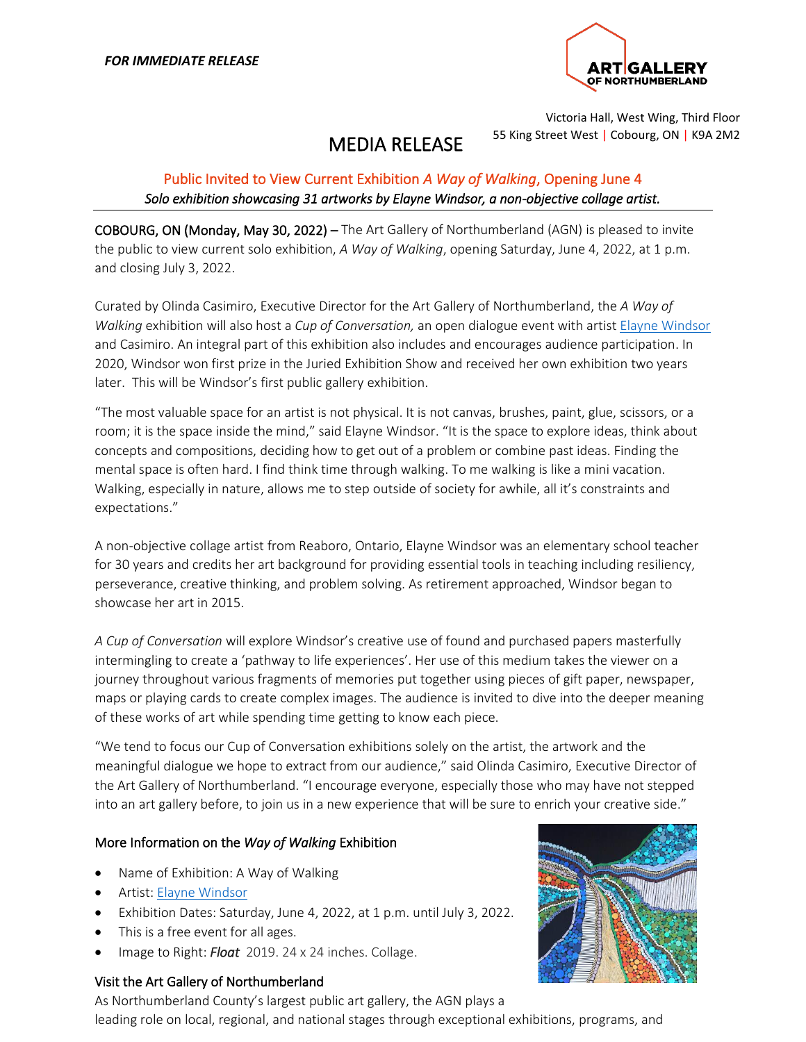

Victoria Hall, West Wing, Third Floor 55 King Street West | Cobourg, ON | K9A 2M2

# MEDIA RELEASE

## Public Invited to View Current Exhibition *A Way of Walking*, Opening June 4 *Solo exhibition showcasing 31 artworks by Elayne Windsor, a non-objective collage artist.*

COBOURG, ON (Monday, May 30, 2022) – The Art Gallery of Northumberland (AGN) is pleased to invite the public to view current solo exhibition, *A Way of Walking*, opening Saturday, June 4, 2022, at 1 p.m. and closing July 3, 2022.

Curated by Olinda Casimiro, Executive Director for the Art Gallery of Northumberland, the *A Way of Walking* exhibition will also host a *Cup of Conversation,* an open dialogue event with artist [Elayne Windsor](https://www.elaynewindsor.com/) and Casimiro. An integral part of this exhibition also includes and encourages audience participation. In 2020, Windsor won first prize in the Juried Exhibition Show and received her own exhibition two years later. This will be Windsor's first public gallery exhibition.

"The most valuable space for an artist is not physical. It is not canvas, brushes, paint, glue, scissors, or a room; it is the space inside the mind," said Elayne Windsor. "It is the space to explore ideas, think about concepts and compositions, deciding how to get out of a problem or combine past ideas. Finding the mental space is often hard. I find think time through walking. To me walking is like a mini vacation. Walking, especially in nature, allows me to step outside of society for awhile, all it's constraints and expectations."

A non-objective collage artist from Reaboro, Ontario, Elayne Windsor was an elementary school teacher for 30 years and credits her art background for providing essential tools in teaching including resiliency, perseverance, creative thinking, and problem solving. As retirement approached, Windsor began to showcase her art in 2015.

*A Cup of Conversation* will explore Windsor's creative use of found and purchased papers masterfully intermingling to create a 'pathway to life experiences'. Her use of this medium takes the viewer on a journey throughout various fragments of memories put together using pieces of gift paper, newspaper, maps or playing cards to create complex images. The audience is invited to dive into the deeper meaning of these works of art while spending time getting to know each piece.

"We tend to focus our Cup of Conversation exhibitions solely on the artist, the artwork and the meaningful dialogue we hope to extract from our audience," said Olinda Casimiro, Executive Director of the Art Gallery of Northumberland. "I encourage everyone, especially those who may have not stepped into an art gallery before, to join us in a new experience that will be sure to enrich your creative side."

### More Information on the *Way of Walking* Exhibition

- Name of Exhibition: A Way of Walking
- Artist: [Elayne Windsor](https://www.elaynewindsor.com/)
- Exhibition Dates: Saturday, June 4, 2022, at 1 p.m. until July 3, 2022.
- This is a free event for all ages.
- Image to Right: *Float* 2019. 24 x 24 inches. Collage.

### Visit the Art Gallery of Northumberland



As Northumberland County's largest public art gallery, the AGN plays a leading role on local, regional, and national stages through exceptional exhibitions, programs, and